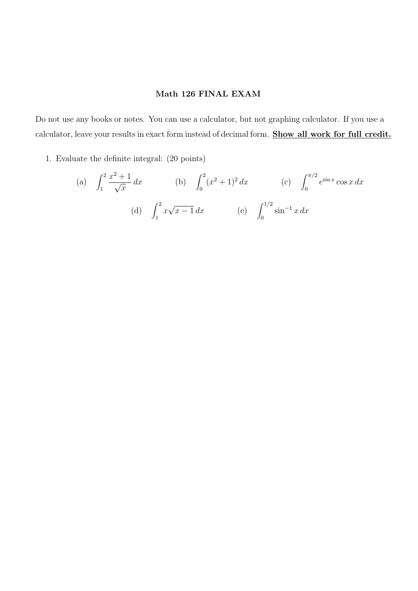## Math 126 FINAL EXAM

Do not use any books or notes. You can use a calculator, but not graphing calculator. If you use a calculator, leave your results in exact form instead of decimal form. Show all work for full credit.

1. Evaluate the definite integral: (20 points)

(a) 
$$
\int_{1}^{2} \frac{x^{2} + 1}{\sqrt{x}} dx
$$
 (b)  $\int_{0}^{2} (x^{2} + 1)^{2} dx$  (c)  $\int_{0}^{\pi/2} e^{\sin x} \cos x dx$   
(d)  $\int_{1}^{2} x \sqrt{x - 1} dx$  (e)  $\int_{0}^{1/2} \sin^{-1} x dx$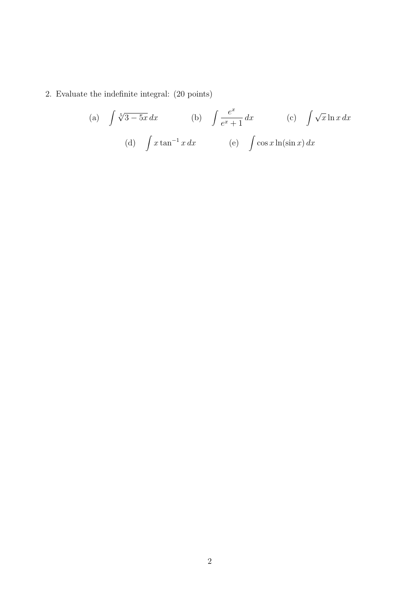## 2. Evaluate the indefinite integral: (20 points)

(a) 
$$
\int \sqrt[5]{3-5x} dx
$$
 (b)  $\int \frac{e^x}{e^x+1} dx$  (c)  $\int \sqrt{x} \ln x dx$   
(d)  $\int x \tan^{-1} x dx$  (e)  $\int \cos x \ln(\sin x) dx$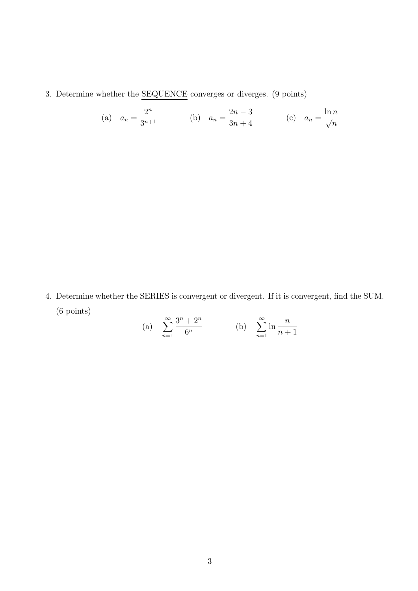3. Determine whether the SEQUENCE converges or diverges. (9 points)

(a) 
$$
a_n = \frac{2^n}{3^{n+1}}
$$
 (b)  $a_n = \frac{2n-3}{3n+4}$  (c)  $a_n = \frac{\ln n}{\sqrt{n}}$ 

4. Determine whether the **SERIES** is convergent or divergent. If it is convergent, find the SUM. (6 points)

(a) 
$$
\sum_{n=1}^{\infty} \frac{3^n + 2^n}{6^n}
$$
 (b)  $\sum_{n=1}^{\infty} \ln \frac{n}{n+1}$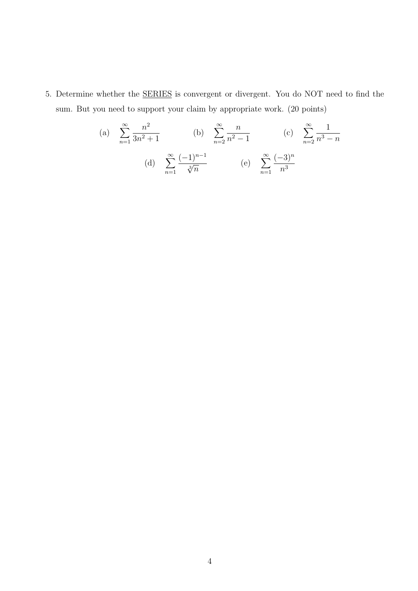5. Determine whether the SERIES is convergent or divergent. You do NOT need to find the sum. But you need to support your claim by appropriate work. (20 points)

(a) 
$$
\sum_{n=1}^{\infty} \frac{n^2}{3n^2 + 1}
$$
 (b)  $\sum_{n=2}^{\infty} \frac{n}{n^2 - 1}$  (c)  $\sum_{n=2}^{\infty} \frac{1}{n^3 - n}$   
(d)  $\sum_{n=1}^{\infty} \frac{(-1)^{n-1}}{\sqrt[3]{n}}$  (e)  $\sum_{n=1}^{\infty} \frac{(-3)^n}{n^3}$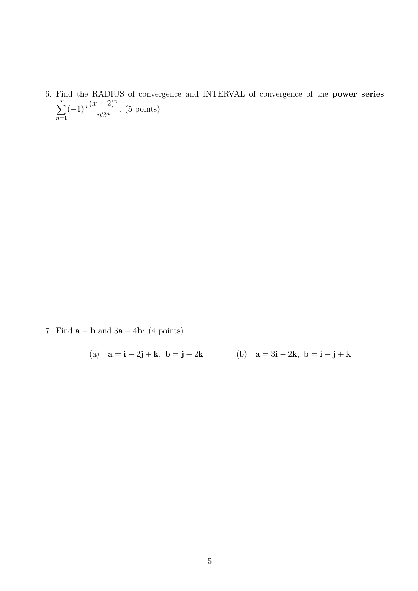6. Find the RADIUS of convergence and INTERVAL of convergence of the **power series**  $\sum^{\infty}$  $n=1$  $(-1)^n \frac{(x+2)^n}{2^n}$  $\frac{1}{n2^n}$ . (5 points)

7. Find  $\mathbf{a} - \mathbf{b}$  and  $3\mathbf{a} + 4\mathbf{b}$ : (4 points)

(a) 
$$
\mathbf{a} = \mathbf{i} - 2\mathbf{j} + \mathbf{k}, \ \mathbf{b} = \mathbf{j} + 2\mathbf{k}
$$
 (b)  $\mathbf{a} = 3\mathbf{i} - 2\mathbf{k}, \ \mathbf{b} = \mathbf{i} - \mathbf{j} + \mathbf{k}$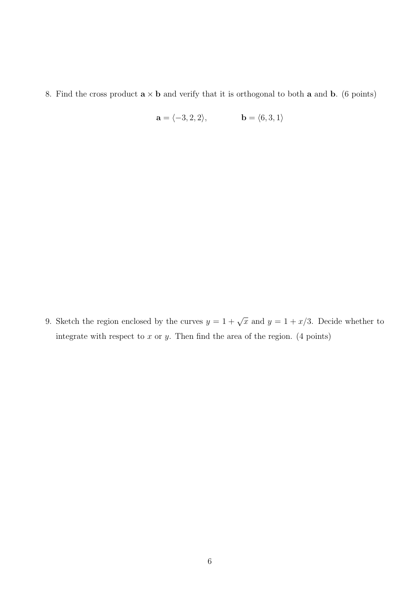8. Find the cross product  $\mathbf{a} \times \mathbf{b}$  and verify that it is orthogonal to both  $\mathbf{a}$  and  $\mathbf{b}$ . (6 points)

$$
\mathbf{a} = \langle -3, 2, 2 \rangle, \qquad \qquad \mathbf{b} = \langle 6, 3, 1 \rangle
$$

9. Sketch the region enclosed by the curves  $y = 1 + \sqrt{x}$  and  $y = 1 + x/3$ . Decide whether to integrate with respect to  $x$  or  $y$ . Then find the area of the region. (4 points)